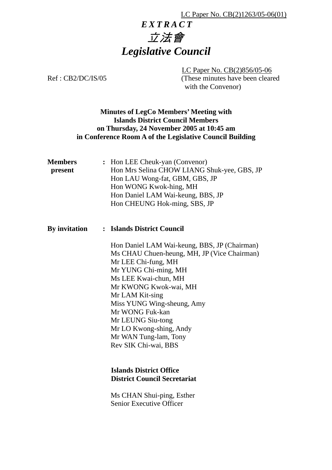#### LC Paper No. CB(2)1263/05-06(01)

# 立法會 *Legislative Council EXTRACT*

 LC Paper No. CB(2)856/05-06 Ref : CB2/DC/IS/05 (These minutes have been cleared with the Convenor)

### **Minutes of LegCo Members' Meeting with Islands District Council Members on Thursday, 24 November 2005 at 10:45 am in Conference Room A of the Legislative Council Building**

| <b>Members</b><br>present | : Hon LEE Cheuk-yan (Convenor)<br>Hon Mrs Selina CHOW LIANG Shuk-yee, GBS, JP<br>Hon LAU Wong-fat, GBM, GBS, JP<br>Hon WONG Kwok-hing, MH<br>Hon Daniel LAM Wai-keung, BBS, JP<br>Hon CHEUNG Hok-ming, SBS, JP                                                                                                                                                   |
|---------------------------|------------------------------------------------------------------------------------------------------------------------------------------------------------------------------------------------------------------------------------------------------------------------------------------------------------------------------------------------------------------|
| By invitation             | : Islands District Council                                                                                                                                                                                                                                                                                                                                       |
|                           | Hon Daniel LAM Wai-keung, BBS, JP (Chairman)<br>Ms CHAU Chuen-heung, MH, JP (Vice Chairman)<br>Mr LEE Chi-fung, MH<br>Mr YUNG Chi-ming, MH<br>Ms LEE Kwai-chun, MH<br>Mr KWONG Kwok-wai, MH<br>Mr LAM Kit-sing<br>Miss YUNG Wing-sheung, Amy<br>Mr WONG Fuk-kan<br>Mr LEUNG Siu-tong<br>Mr LO Kwong-shing, Andy<br>Mr WAN Tung-lam, Tony<br>Rev SIK Chi-wai, BBS |
|                           | <b>Islands District Office</b><br><b>District Council Secretariat</b>                                                                                                                                                                                                                                                                                            |
|                           | Ms CHAN Shui-ping, Esther<br><b>Senior Executive Officer</b>                                                                                                                                                                                                                                                                                                     |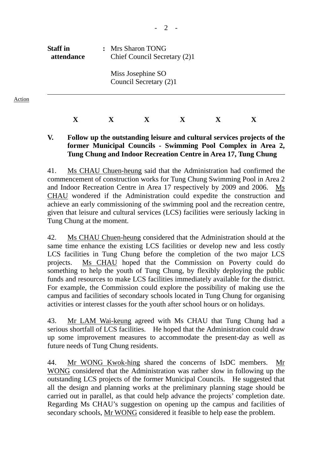| <b>Staff</b> in | : Mrs Sharon TONG            |
|-----------------|------------------------------|
| attendance      | Chief Council Secretary (2)1 |
|                 | Miss Josephine SO            |

Action

Council Secretary (2)1

## **X X X X X X**

### **V. Follow up the outstanding leisure and cultural services projects of the former Municipal Councils - Swimming Pool Complex in Area 2, Tung Chung and Indoor Recreation Centre in Area 17, Tung Chung**

41. Ms CHAU Chuen-heung said that the Administration had confirmed the commencement of construction works for Tung Chung Swimming Pool in Area 2 and Indoor Recreation Centre in Area 17 respectively by 2009 and 2006. Ms CHAU wondered if the Administration could expedite the construction and achieve an early commissioning of the swimming pool and the recreation centre, given that leisure and cultural services (LCS) facilities were seriously lacking in Tung Chung at the moment.

42. Ms CHAU Chuen-heung considered that the Administration should at the same time enhance the existing LCS facilities or develop new and less costly LCS facilities in Tung Chung before the completion of the two major LCS projects. Ms CHAU hoped that the Commission on Poverty could do something to help the youth of Tung Chung, by flexibly deploying the public funds and resources to make LCS facilities immediately available for the district. For example, the Commission could explore the possibility of making use the campus and facilities of secondary schools located in Tung Chung for organising activities or interest classes for the youth after school hours or on holidays.

43. Mr LAM Wai-keung agreed with Ms CHAU that Tung Chung had a serious shortfall of LCS facilities. He hoped that the Administration could draw up some improvement measures to accommodate the present-day as well as future needs of Tung Chung residents.

44. Mr WONG Kwok-hing shared the concerns of IsDC members. Mr WONG considered that the Administration was rather slow in following up the outstanding LCS projects of the former Municipal Councils. He suggested that all the design and planning works at the preliminary planning stage should be carried out in parallel, as that could help advance the projects' completion date. Regarding Ms CHAU's suggestion on opening up the campus and facilities of secondary schools, Mr WONG considered it feasible to help ease the problem.